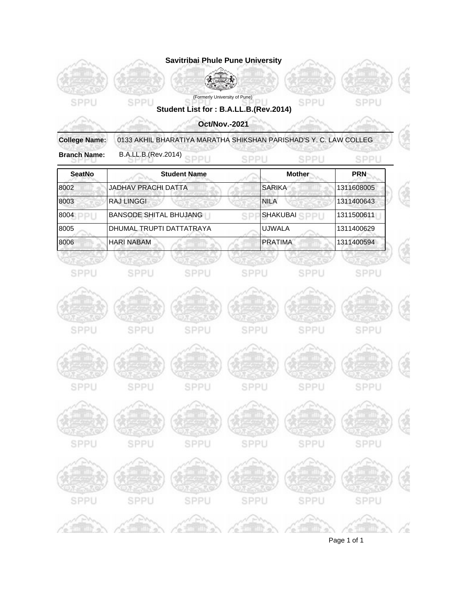

Page 1 of 1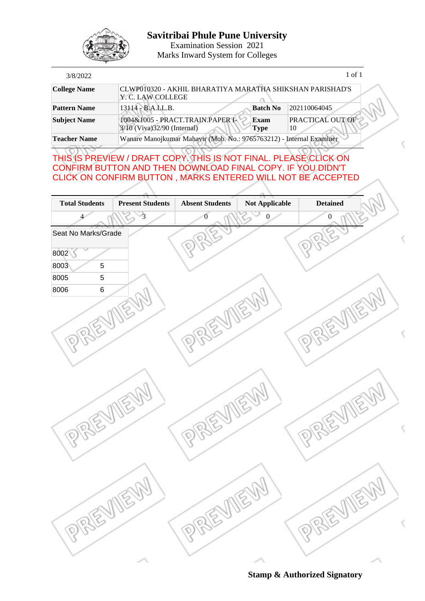

Examination Session 2021 Marks Inward System for Colleges

| 3/8/2022            |                                                                                         | 1 of 1                 |
|---------------------|-----------------------------------------------------------------------------------------|------------------------|
| <b>College Name</b> | CLWP010320 - AKHIL BHARATIYA MARATHA SHIKSHAN PARISHAD'S<br>Y. C. LAW COLLEGE           |                        |
| <b>Pattern Name</b> | 13114 - B.A.LL.B.<br><b>Batch No</b>                                                    | 202110064045           |
| <b>Subject Name</b> | 1004&1005 - PRACT.TRAIN.PAPER I-<br>Exam<br>3/10 (Viva) 32/90 (Internal)<br><b>Type</b> | PRACTICAL OUT OF<br>10 |
| <b>Teacher Name</b> | Wanare Manojkumar Mahavir (Mob. No.: 9765763212) - Internal Examiner                    |                        |

## THIS IS PREVIEW / DRAFT COPY. THIS IS NOT FINAL. PLEASE CLICK ON CONFIRM BUTTON AND THEN DOWNLOAD FINAL COPY. IF YOU DIDN'T CLICK ON CONFIRM BUTTON , MARKS ENTERED WILL NOT BE ACCEPTED

| <b>Total Students</b> | <b>Present Students</b> | <b>Absent Students</b> | Not Applicable       | <b>Detained</b>  |               |
|-----------------------|-------------------------|------------------------|----------------------|------------------|---------------|
| 4                     | $\overline{\mathbf{3}}$ | $\overline{0}$         | $\boldsymbol{0}$     | $\boldsymbol{0}$ |               |
| Seat No Marks/Grade   |                         |                        |                      |                  |               |
| 8002                  |                         |                        |                      |                  |               |
| 8003<br>$\sqrt{5}$    |                         |                        |                      |                  |               |
| 8005<br>$\mathbf 5$   |                         |                        |                      |                  |               |
| 8006<br>$\,6$         |                         |                        |                      |                  |               |
|                       |                         |                        |                      |                  |               |
|                       |                         |                        | $\mathcal{C}$        |                  |               |
|                       |                         |                        |                      |                  |               |
|                       |                         | R                      |                      |                  |               |
|                       |                         |                        |                      |                  |               |
|                       |                         |                        |                      |                  |               |
|                       |                         |                        |                      |                  |               |
|                       |                         |                        |                      |                  |               |
|                       |                         |                        | $\mathcal{E}$        |                  | $\beta$       |
|                       |                         |                        |                      |                  |               |
|                       |                         |                        |                      |                  |               |
| R                     |                         | R                      |                      | R                |               |
|                       |                         |                        |                      |                  |               |
|                       |                         |                        |                      |                  |               |
|                       |                         |                        |                      |                  |               |
|                       |                         |                        |                      |                  |               |
|                       | $\sqrt{2}$              |                        | $\overrightarrow{C}$ |                  | $\mathcal{E}$ |
|                       |                         | S                      |                      |                  |               |
| R                     |                         | <b>Pr</b><br>R         |                      |                  |               |
|                       |                         |                        |                      |                  |               |
|                       |                         |                        |                      |                  |               |
|                       |                         |                        |                      |                  |               |